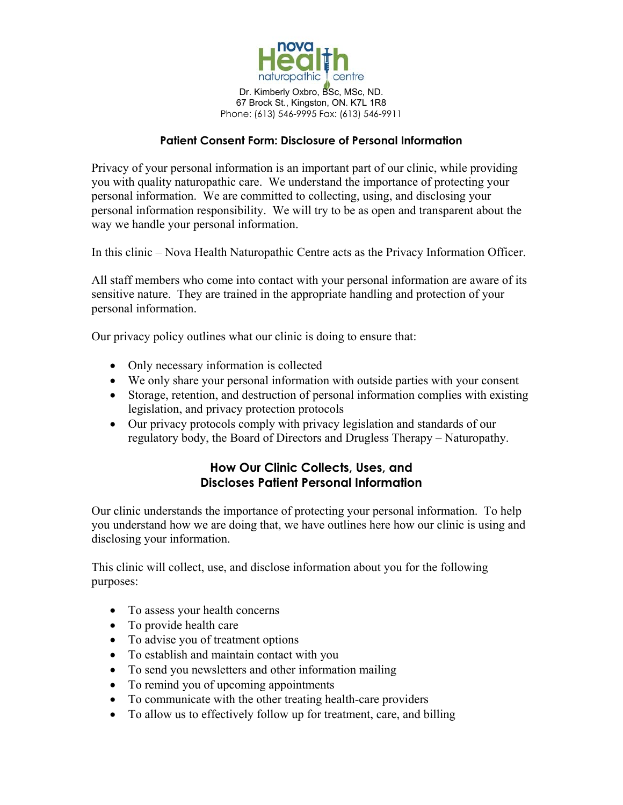

Dr. Kimberly Oxbro, BSc, MSc, ND. 67 Brock St., Kingston, ON. K7L 1R8 Phone: (613) 546-9995 Fax: (613) 546-9911

### **Patient Consent Form: Disclosure of Personal Information**

Privacy of your personal information is an important part of our clinic, while providing you with quality naturopathic care. We understand the importance of protecting your personal information. We are committed to collecting, using, and disclosing your personal information responsibility. We will try to be as open and transparent about the way we handle your personal information.

In this clinic – Nova Health Naturopathic Centre acts as the Privacy Information Officer.

All staff members who come into contact with your personal information are aware of its sensitive nature. They are trained in the appropriate handling and protection of your personal information.

Our privacy policy outlines what our clinic is doing to ensure that:

- Only necessary information is collected
- We only share your personal information with outside parties with your consent
- Storage, retention, and destruction of personal information complies with existing legislation, and privacy protection protocols
- Our privacy protocols comply with privacy legislation and standards of our regulatory body, the Board of Directors and Drugless Therapy – Naturopathy.

# **How Our Clinic Collects, Uses, and Discloses Patient Personal Information**

Our clinic understands the importance of protecting your personal information. To help you understand how we are doing that, we have outlines here how our clinic is using and disclosing your information.

This clinic will collect, use, and disclose information about you for the following purposes:

- To assess your health concerns
- To provide health care
- To advise you of treatment options
- To establish and maintain contact with you
- To send you newsletters and other information mailing
- To remind you of upcoming appointments
- To communicate with the other treating health-care providers
- To allow us to effectively follow up for treatment, care, and billing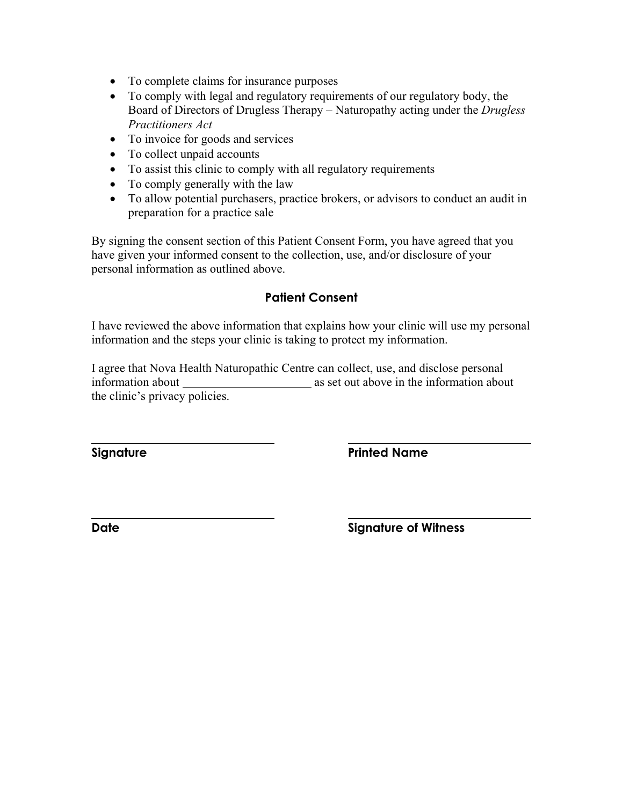- To complete claims for insurance purposes
- To comply with legal and regulatory requirements of our regulatory body, the Board of Directors of Drugless Therapy – Naturopathy acting under the *Drugless Practitioners Act*
- To invoice for goods and services
- To collect unpaid accounts
- To assist this clinic to comply with all regulatory requirements
- To comply generally with the law
- To allow potential purchasers, practice brokers, or advisors to conduct an audit in preparation for a practice sale

By signing the consent section of this Patient Consent Form, you have agreed that you have given your informed consent to the collection, use, and/or disclosure of your personal information as outlined above.

## **Patient Consent**

I have reviewed the above information that explains how your clinic will use my personal information and the steps your clinic is taking to protect my information.

I agree that Nova Health Naturopathic Centre can collect, use, and disclose personal information about as set out above in the information about the clinic's privacy policies.

 $\overline{a}$ 

**Signature Printed Name** 

**Date** Signature of Witness